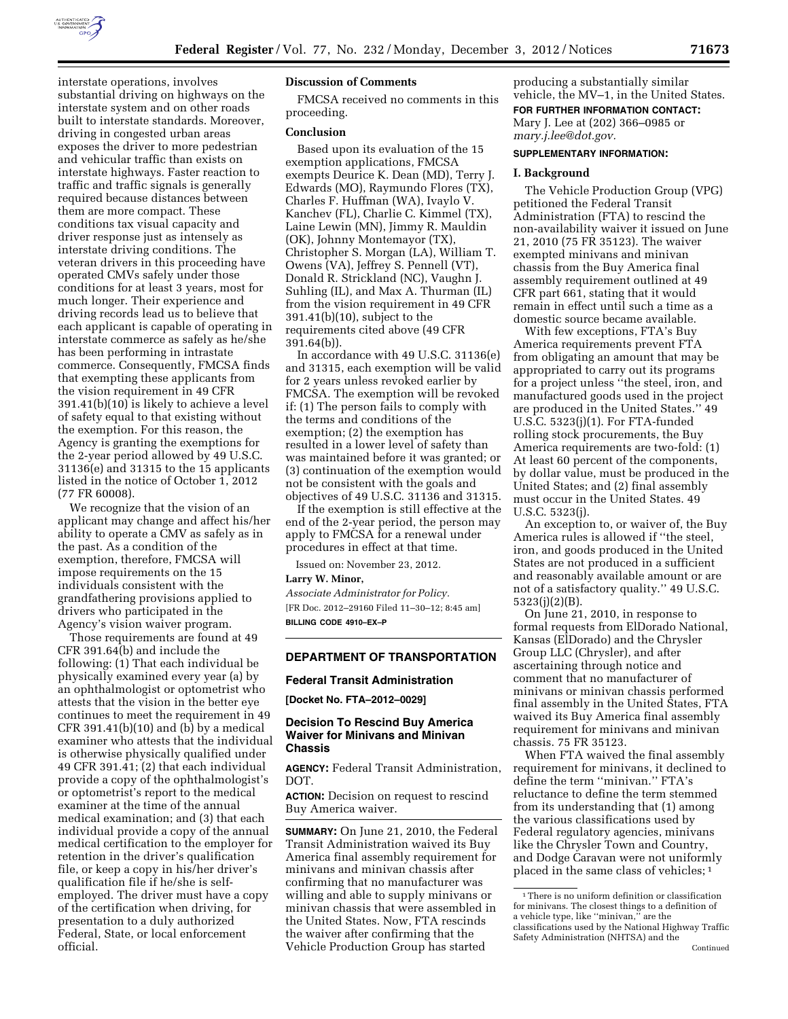

interstate operations, involves substantial driving on highways on the interstate system and on other roads built to interstate standards. Moreover, driving in congested urban areas exposes the driver to more pedestrian and vehicular traffic than exists on interstate highways. Faster reaction to traffic and traffic signals is generally required because distances between them are more compact. These conditions tax visual capacity and driver response just as intensely as interstate driving conditions. The veteran drivers in this proceeding have operated CMVs safely under those conditions for at least 3 years, most for much longer. Their experience and driving records lead us to believe that each applicant is capable of operating in interstate commerce as safely as he/she has been performing in intrastate commerce. Consequently, FMCSA finds that exempting these applicants from the vision requirement in 49 CFR 391.41(b)(10) is likely to achieve a level of safety equal to that existing without the exemption. For this reason, the Agency is granting the exemptions for the 2-year period allowed by 49 U.S.C. 31136(e) and 31315 to the 15 applicants listed in the notice of October 1, 2012 (77 FR 60008).

We recognize that the vision of an applicant may change and affect his/her ability to operate a CMV as safely as in the past. As a condition of the exemption, therefore, FMCSA will impose requirements on the 15 individuals consistent with the grandfathering provisions applied to drivers who participated in the Agency's vision waiver program.

Those requirements are found at 49 CFR 391.64(b) and include the following: (1) That each individual be physically examined every year (a) by an ophthalmologist or optometrist who attests that the vision in the better eye continues to meet the requirement in 49 CFR 391.41(b)(10) and (b) by a medical examiner who attests that the individual is otherwise physically qualified under 49 CFR 391.41; (2) that each individual provide a copy of the ophthalmologist's or optometrist's report to the medical examiner at the time of the annual medical examination; and (3) that each individual provide a copy of the annual medical certification to the employer for retention in the driver's qualification file, or keep a copy in his/her driver's qualification file if he/she is selfemployed. The driver must have a copy of the certification when driving, for presentation to a duly authorized Federal, State, or local enforcement official.

## **Discussion of Comments**

FMCSA received no comments in this proceeding.

## **Conclusion**

Based upon its evaluation of the 15 exemption applications, FMCSA exempts Deurice K. Dean (MD), Terry J. Edwards (MO), Raymundo Flores (TX), Charles F. Huffman (WA), Ivaylo V. Kanchev (FL), Charlie C. Kimmel (TX), Laine Lewin (MN), Jimmy R. Mauldin (OK), Johnny Montemayor (TX), Christopher S. Morgan (LA), William T. Owens (VA), Jeffrey S. Pennell (VT), Donald R. Strickland (NC), Vaughn J. Suhling (IL), and Max A. Thurman (IL) from the vision requirement in 49 CFR 391.41(b)(10), subject to the requirements cited above (49 CFR 391.64(b)).

In accordance with 49 U.S.C. 31136(e) and 31315, each exemption will be valid for 2 years unless revoked earlier by FMCSA. The exemption will be revoked if: (1) The person fails to comply with the terms and conditions of the exemption; (2) the exemption has resulted in a lower level of safety than was maintained before it was granted; or (3) continuation of the exemption would not be consistent with the goals and objectives of 49 U.S.C. 31136 and 31315.

If the exemption is still effective at the end of the 2-year period, the person may apply to FMCSA for a renewal under procedures in effect at that time.

Issued on: November 23, 2012.

**Larry W. Minor,** 

*Associate Administrator for Policy.*  [FR Doc. 2012–29160 Filed 11–30–12; 8:45 am] **BILLING CODE 4910–EX–P** 

# **DEPARTMENT OF TRANSPORTATION**

## **Federal Transit Administration**

**[Docket No. FTA–2012–0029]** 

## **Decision To Rescind Buy America Waiver for Minivans and Minivan Chassis**

**AGENCY:** Federal Transit Administration, DOT.

**ACTION:** Decision on request to rescind Buy America waiver.

**SUMMARY:** On June 21, 2010, the Federal Transit Administration waived its Buy America final assembly requirement for minivans and minivan chassis after confirming that no manufacturer was willing and able to supply minivans or minivan chassis that were assembled in the United States. Now, FTA rescinds the waiver after confirming that the Vehicle Production Group has started

producing a substantially similar vehicle, the MV–1, in the United States. **FOR FURTHER INFORMATION CONTACT:**  Mary J. Lee at (202) 366–0985 or *[mary.j.lee@dot.gov.](mailto:mary.j.lee@dot.gov)* 

#### **SUPPLEMENTARY INFORMATION:**

#### **I. Background**

The Vehicle Production Group (VPG) petitioned the Federal Transit Administration (FTA) to rescind the non-availability waiver it issued on June 21, 2010 (75 FR 35123). The waiver exempted minivans and minivan chassis from the Buy America final assembly requirement outlined at 49 CFR part 661, stating that it would remain in effect until such a time as a domestic source became available.

With few exceptions, FTA's Buy America requirements prevent FTA from obligating an amount that may be appropriated to carry out its programs for a project unless ''the steel, iron, and manufactured goods used in the project are produced in the United States.'' 49 U.S.C. 5323(j)(1). For FTA-funded rolling stock procurements, the Buy America requirements are two-fold: (1) At least 60 percent of the components, by dollar value, must be produced in the United States; and (2) final assembly must occur in the United States. 49 U.S.C. 5323(j).

An exception to, or waiver of, the Buy America rules is allowed if ''the steel, iron, and goods produced in the United States are not produced in a sufficient and reasonably available amount or are not of a satisfactory quality.'' 49 U.S.C. 5323(j)(2)(B).

On June 21, 2010, in response to formal requests from ElDorado National, Kansas (ElDorado) and the Chrysler Group LLC (Chrysler), and after ascertaining through notice and comment that no manufacturer of minivans or minivan chassis performed final assembly in the United States, FTA waived its Buy America final assembly requirement for minivans and minivan chassis. 75 FR 35123.

When FTA waived the final assembly requirement for minivans, it declined to define the term ''minivan.'' FTA's reluctance to define the term stemmed from its understanding that (1) among the various classifications used by Federal regulatory agencies, minivans like the Chrysler Town and Country, and Dodge Caravan were not uniformly placed in the same class of vehicles; 1

<sup>&</sup>lt;sup>1</sup>There is no uniform definition or classification for minivans. The closest things to a definition of a vehicle type, like ''minivan,'' are the classifications used by the National Highway Traffic Safety Administration (NHTSA) and the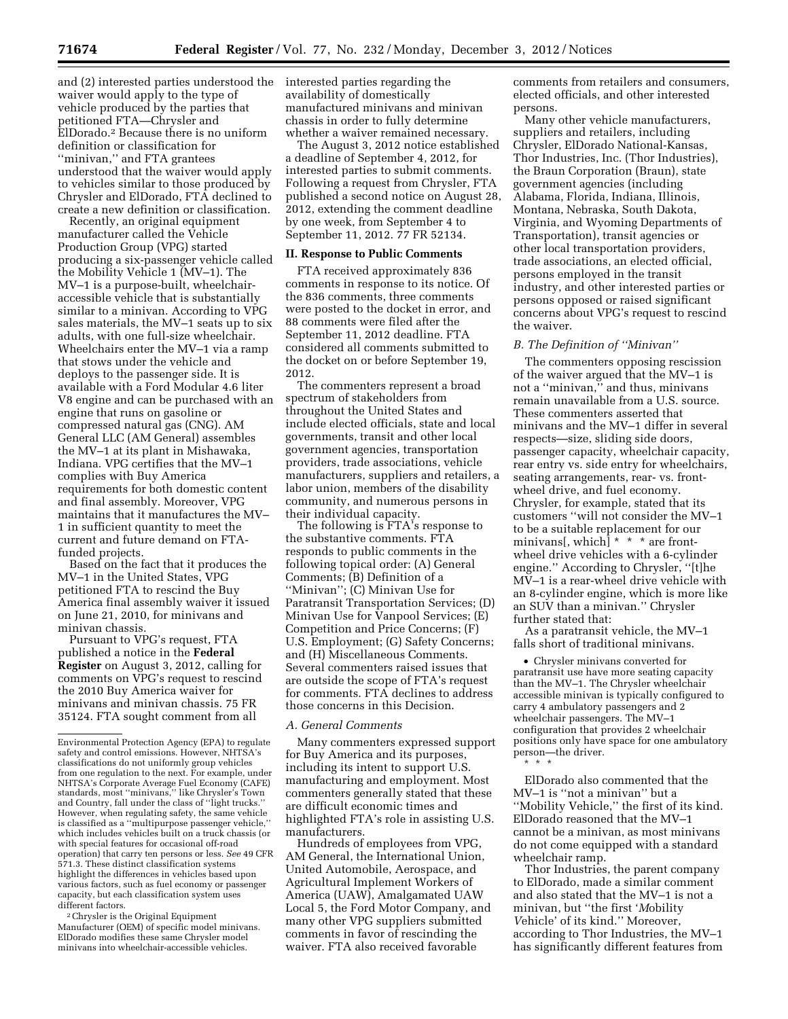and (2) interested parties understood the waiver would apply to the type of vehicle produced by the parties that petitioned FTA—Chrysler and ElDorado.2 Because there is no uniform definition or classification for ''minivan,'' and FTA grantees understood that the waiver would apply to vehicles similar to those produced by Chrysler and ElDorado, FTA declined to create a new definition or classification.

Recently, an original equipment manufacturer called the Vehicle Production Group (VPG) started producing a six-passenger vehicle called the Mobility Vehicle 1 (MV–1). The MV–1 is a purpose-built, wheelchairaccessible vehicle that is substantially similar to a minivan. According to VPG sales materials, the MV–1 seats up to six adults, with one full-size wheelchair. Wheelchairs enter the MV–1 via a ramp that stows under the vehicle and deploys to the passenger side. It is available with a Ford Modular 4.6 liter V8 engine and can be purchased with an engine that runs on gasoline or compressed natural gas (CNG). AM General LLC (AM General) assembles the MV–1 at its plant in Mishawaka, Indiana. VPG certifies that the MV–1 complies with Buy America requirements for both domestic content and final assembly. Moreover, VPG maintains that it manufactures the MV– 1 in sufficient quantity to meet the current and future demand on FTAfunded projects.

Based on the fact that it produces the MV–1 in the United States, VPG petitioned FTA to rescind the Buy America final assembly waiver it issued on June 21, 2010, for minivans and minivan chassis.

Pursuant to VPG's request, FTA published a notice in the **Federal Register** on August 3, 2012, calling for comments on VPG's request to rescind the 2010 Buy America waiver for minivans and minivan chassis. 75 FR 35124. FTA sought comment from all

2Chrysler is the Original Equipment Manufacturer (OEM) of specific model minivans. ElDorado modifies these same Chrysler model minivans into wheelchair-accessible vehicles.

interested parties regarding the availability of domestically manufactured minivans and minivan chassis in order to fully determine whether a waiver remained necessary.

The August 3, 2012 notice established a deadline of September 4, 2012, for interested parties to submit comments. Following a request from Chrysler, FTA published a second notice on August 28, 2012, extending the comment deadline by one week, from September 4 to September 11, 2012. 77 FR 52134.

### **II. Response to Public Comments**

FTA received approximately 836 comments in response to its notice. Of the 836 comments, three comments were posted to the docket in error, and 88 comments were filed after the September 11, 2012 deadline. FTA considered all comments submitted to the docket on or before September 19, 2012.

The commenters represent a broad spectrum of stakeholders from throughout the United States and include elected officials, state and local governments, transit and other local government agencies, transportation providers, trade associations, vehicle manufacturers, suppliers and retailers, a labor union, members of the disability community, and numerous persons in their individual capacity.

The following is FTA's response to the substantive comments. FTA responds to public comments in the following topical order: (A) General Comments; (B) Definition of a ''Minivan''; (C) Minivan Use for Paratransit Transportation Services; (D) Minivan Use for Vanpool Services; (E) Competition and Price Concerns; (F) U.S. Employment; (G) Safety Concerns; and (H) Miscellaneous Comments. Several commenters raised issues that are outside the scope of FTA's request for comments. FTA declines to address those concerns in this Decision.

#### *A. General Comments*

Many commenters expressed support for Buy America and its purposes, including its intent to support U.S. manufacturing and employment. Most commenters generally stated that these are difficult economic times and highlighted FTA's role in assisting U.S. manufacturers.

Hundreds of employees from VPG, AM General, the International Union, United Automobile, Aerospace, and Agricultural Implement Workers of America (UAW), Amalgamated UAW Local 5, the Ford Motor Company, and many other VPG suppliers submitted comments in favor of rescinding the waiver. FTA also received favorable

comments from retailers and consumers, elected officials, and other interested persons.

Many other vehicle manufacturers, suppliers and retailers, including Chrysler, ElDorado National-Kansas, Thor Industries, Inc. (Thor Industries), the Braun Corporation (Braun), state government agencies (including Alabama, Florida, Indiana, Illinois, Montana, Nebraska, South Dakota, Virginia, and Wyoming Departments of Transportation), transit agencies or other local transportation providers, trade associations, an elected official, persons employed in the transit industry, and other interested parties or persons opposed or raised significant concerns about VPG's request to rescind the waiver.

### *B. The Definition of ''Minivan''*

The commenters opposing rescission of the waiver argued that the MV–1 is not a "minivan," and thus, minivans remain unavailable from a U.S. source. These commenters asserted that minivans and the MV–1 differ in several respects—size, sliding side doors, passenger capacity, wheelchair capacity, rear entry vs. side entry for wheelchairs, seating arrangements, rear- vs. frontwheel drive, and fuel economy. Chrysler, for example, stated that its customers ''will not consider the MV–1 to be a suitable replacement for our minivans[, which]  $* * *$  are frontwheel drive vehicles with a 6-cylinder engine.'' According to Chrysler, ''[t]he MV–1 is a rear-wheel drive vehicle with an 8-cylinder engine, which is more like an SUV than a minivan.'' Chrysler further stated that:

As a paratransit vehicle, the MV–1 falls short of traditional minivans.

• Chrysler minivans converted for paratransit use have more seating capacity than the MV–1. The Chrysler wheelchair accessible minivan is typically configured to carry 4 ambulatory passengers and 2 wheelchair passengers. The MV–1 configuration that provides 2 wheelchair positions only have space for one ambulatory person—the driver. \* \* \*

ElDorado also commented that the MV–1 is ''not a minivan'' but a ''Mobility Vehicle,'' the first of its kind. ElDorado reasoned that the MV–1 cannot be a minivan, as most minivans do not come equipped with a standard wheelchair ramp.

Thor Industries, the parent company to ElDorado, made a similar comment and also stated that the MV–1 is not a minivan, but ''the first '*M*obility *V*ehicle' of its kind.'' Moreover, according to Thor Industries, the MV–1 has significantly different features from

Environmental Protection Agency (EPA) to regulate safety and control emissions. However, NHTSA's classifications do not uniformly group vehicles from one regulation to the next. For example, under NHTSA's Corporate Average Fuel Economy (CAFE) standards, most ''minivans,'' like Chrysler's Town and Country, fall under the class of ''light trucks.'' However, when regulating safety, the same vehicle is classified as a ''multipurpose passenger vehicle,'' which includes vehicles built on a truck chassis (or with special features for occasional off-road operation) that carry ten persons or less. *See* 49 CFR 571.3. These distinct classification systems highlight the differences in vehicles based upon various factors, such as fuel economy or passenger capacity, but each classification system uses different factors.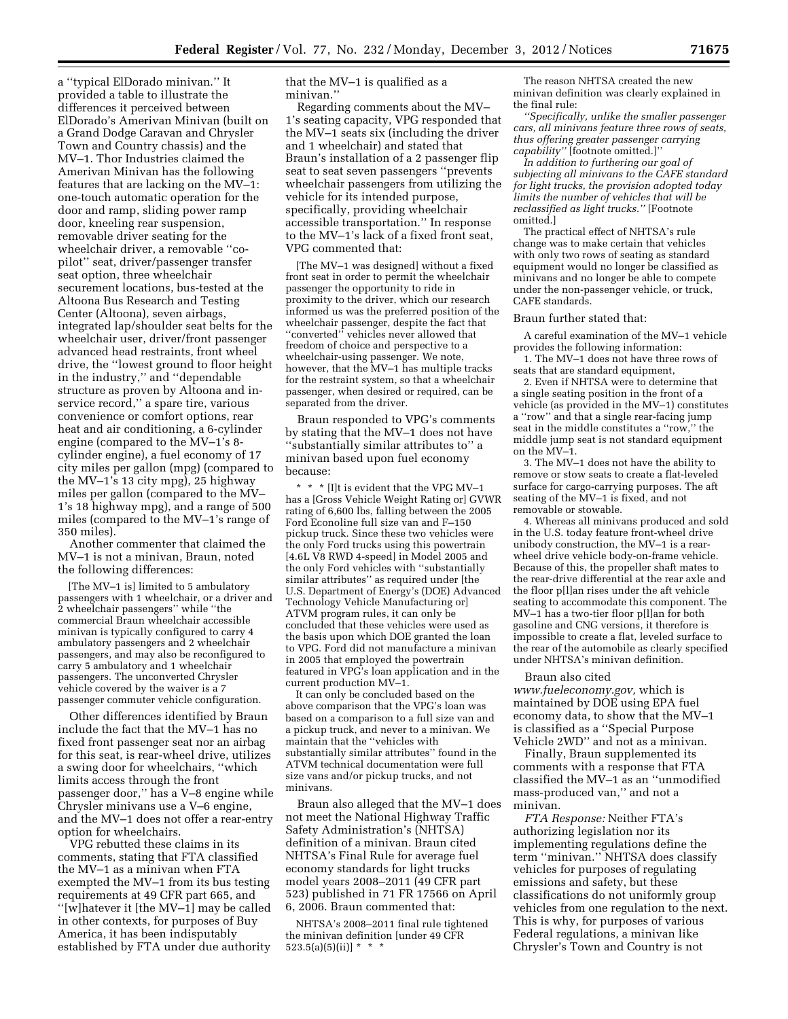a ''typical ElDorado minivan.'' It provided a table to illustrate the differences it perceived between ElDorado's Amerivan Minivan (built on a Grand Dodge Caravan and Chrysler Town and Country chassis) and the MV–1. Thor Industries claimed the Amerivan Minivan has the following features that are lacking on the MV–1: one-touch automatic operation for the door and ramp, sliding power ramp door, kneeling rear suspension, removable driver seating for the wheelchair driver, a removable ''copilot'' seat, driver/passenger transfer seat option, three wheelchair securement locations, bus-tested at the Altoona Bus Research and Testing Center (Altoona), seven airbags, integrated lap/shoulder seat belts for the wheelchair user, driver/front passenger advanced head restraints, front wheel drive, the ''lowest ground to floor height in the industry,'' and ''dependable structure as proven by Altoona and inservice record,'' a spare tire, various convenience or comfort options, rear heat and air conditioning, a 6-cylinder engine (compared to the MV–1's 8 cylinder engine), a fuel economy of 17 city miles per gallon (mpg) (compared to the MV–1's 13 city mpg), 25 highway miles per gallon (compared to the MV– 1's 18 highway mpg), and a range of 500 miles (compared to the MV–1's range of 350 miles).

Another commenter that claimed the MV–1 is not a minivan, Braun, noted the following differences:

[The MV–1 is] limited to 5 ambulatory passengers with 1 wheelchair, or a driver and 2 wheelchair passengers'' while ''the commercial Braun wheelchair accessible minivan is typically configured to carry 4 ambulatory passengers and 2 wheelchair passengers, and may also be reconfigured to carry 5 ambulatory and 1 wheelchair passengers. The unconverted Chrysler vehicle covered by the waiver is a 7 passenger commuter vehicle configuration.

Other differences identified by Braun include the fact that the MV–1 has no fixed front passenger seat nor an airbag for this seat, is rear-wheel drive, utilizes a swing door for wheelchairs, ''which limits access through the front passenger door,'' has a V–8 engine while Chrysler minivans use a V–6 engine, and the MV–1 does not offer a rear-entry option for wheelchairs.

VPG rebutted these claims in its comments, stating that FTA classified the MV–1 as a minivan when FTA exempted the MV–1 from its bus testing requirements at 49 CFR part 665, and ''[w]hatever it [the MV–1] may be called in other contexts, for purposes of Buy America, it has been indisputably established by FTA under due authority

that the MV–1 is qualified as a minivan.''

Regarding comments about the MV– 1's seating capacity, VPG responded that the MV–1 seats six (including the driver and 1 wheelchair) and stated that Braun's installation of a 2 passenger flip seat to seat seven passengers ''prevents wheelchair passengers from utilizing the vehicle for its intended purpose, specifically, providing wheelchair accessible transportation.'' In response to the MV–1's lack of a fixed front seat, VPG commented that:

[The MV–1 was designed] without a fixed front seat in order to permit the wheelchair passenger the opportunity to ride in proximity to the driver, which our research informed us was the preferred position of the wheelchair passenger, despite the fact that "converted" vehicles never allowed that freedom of choice and perspective to a wheelchair-using passenger. We note, however, that the MV–1 has multiple tracks for the restraint system, so that a wheelchair passenger, when desired or required, can be separated from the driver.

Braun responded to VPG's comments by stating that the MV–1 does not have ''substantially similar attributes to'' a minivan based upon fuel economy because:

 $^{\star}$   $^{\star}$   $^{\star}$  [I]t is evident that the VPG MV–1 has a [Gross Vehicle Weight Rating or] GVWR rating of 6,600 lbs, falling between the 2005 Ford Econoline full size van and F–150 pickup truck. Since these two vehicles were the only Ford trucks using this powertrain [4.6L V8 RWD 4-speed] in Model 2005 and the only Ford vehicles with ''substantially similar attributes'' as required under [the U.S. Department of Energy's (DOE) Advanced Technology Vehicle Manufacturing or] ATVM program rules, it can only be concluded that these vehicles were used as the basis upon which DOE granted the loan to VPG. Ford did not manufacture a minivan in 2005 that employed the powertrain featured in VPG's loan application and in the current production MV–1.

It can only be concluded based on the above comparison that the VPG's loan was based on a comparison to a full size van and a pickup truck, and never to a minivan. We maintain that the ''vehicles with substantially similar attributes'' found in the ATVM technical documentation were full size vans and/or pickup trucks, and not minivans.

Braun also alleged that the MV–1 does not meet the National Highway Traffic Safety Administration's (NHTSA) definition of a minivan. Braun cited NHTSA's Final Rule for average fuel economy standards for light trucks model years 2008–2011 (49 CFR part 523) published in 71 FR 17566 on April 6, 2006. Braun commented that:

NHTSA's 2008–2011 final rule tightened the minivan definition [under 49 CFR  $523.5(a)(5)(ii)$  \* \*

The reason NHTSA created the new minivan definition was clearly explained in the final rule:

*''Specifically, unlike the smaller passenger cars, all minivans feature three rows of seats, thus offering greater passenger carrying capability''* [footnote omitted.]''

*In addition to furthering our goal of subjecting all minivans to the CAFE standard for light trucks, the provision adopted today limits the number of vehicles that will be reclassified as light trucks.''* [Footnote omitted.]

The practical effect of NHTSA's rule change was to make certain that vehicles with only two rows of seating as standard equipment would no longer be classified as minivans and no longer be able to compete under the non-passenger vehicle, or truck, CAFE standards.

#### Braun further stated that:

A careful examination of the MV–1 vehicle provides the following information:

1. The MV–1 does not have three rows of seats that are standard equipment,

2. Even if NHTSA were to determine that a single seating position in the front of a vehicle (as provided in the MV–1) constitutes a ''row'' and that a single rear-facing jump seat in the middle constitutes a ''row,'' the middle jump seat is not standard equipment on the MV–1.

3. The MV–1 does not have the ability to remove or stow seats to create a flat-leveled surface for cargo-carrying purposes. The aft seating of the MV–1 is fixed, and not removable or stowable.

4. Whereas all minivans produced and sold in the U.S. today feature front-wheel drive unibody construction, the MV–1 is a rearwheel drive vehicle body-on-frame vehicle. Because of this, the propeller shaft mates to the rear-drive differential at the rear axle and the floor p[l]an rises under the aft vehicle seating to accommodate this component. The MV–1 has a two-tier floor p[l]an for both gasoline and CNG versions, it therefore is impossible to create a flat, leveled surface to the rear of the automobile as clearly specified under NHTSA's minivan definition.

Braun also cited

*[www.fueleconomy.gov,](http://www.fueleconomy.gov)* which is maintained by DOE using EPA fuel economy data, to show that the MV–1 is classified as a ''Special Purpose Vehicle 2WD'' and not as a minivan.

Finally, Braun supplemented its comments with a response that FTA classified the MV–1 as an ''unmodified mass-produced van,'' and not a minivan.

*FTA Response:* Neither FTA's authorizing legislation nor its implementing regulations define the term ''minivan.'' NHTSA does classify vehicles for purposes of regulating emissions and safety, but these classifications do not uniformly group vehicles from one regulation to the next. This is why, for purposes of various Federal regulations, a minivan like Chrysler's Town and Country is not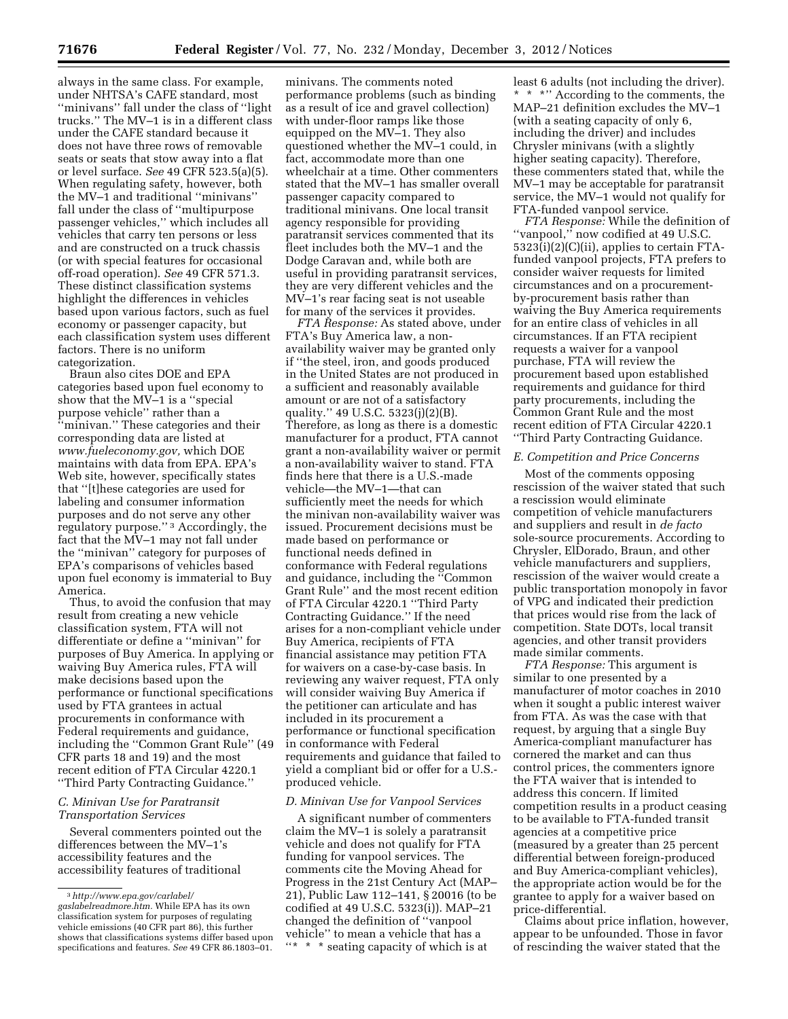always in the same class. For example, under NHTSA's CAFE standard, most ''minivans'' fall under the class of ''light trucks.'' The MV–1 is in a different class under the CAFE standard because it does not have three rows of removable seats or seats that stow away into a flat or level surface. *See* 49 CFR 523.5(a)(5). When regulating safety, however, both the MV–1 and traditional ''minivans'' fall under the class of ''multipurpose passenger vehicles,'' which includes all vehicles that carry ten persons or less and are constructed on a truck chassis (or with special features for occasional off-road operation). *See* 49 CFR 571.3. These distinct classification systems highlight the differences in vehicles based upon various factors, such as fuel economy or passenger capacity, but each classification system uses different factors. There is no uniform categorization.

Braun also cites DOE and EPA categories based upon fuel economy to show that the MV–1 is a ''special purpose vehicle'' rather than a ''minivan.'' These categories and their corresponding data are listed at *[www.fueleconomy.gov,](http://www.fueleconomy.gov)* which DOE maintains with data from EPA. EPA's Web site, however, specifically states that ''[t]hese categories are used for labeling and consumer information purposes and do not serve any other regulatory purpose.'' 3 Accordingly, the fact that the MV–1 may not fall under the ''minivan'' category for purposes of EPA's comparisons of vehicles based upon fuel economy is immaterial to Buy America.

Thus, to avoid the confusion that may result from creating a new vehicle classification system, FTA will not differentiate or define a ''minivan'' for purposes of Buy America. In applying or waiving Buy America rules, FTA will make decisions based upon the performance or functional specifications used by FTA grantees in actual procurements in conformance with Federal requirements and guidance, including the ''Common Grant Rule'' (49 CFR parts 18 and 19) and the most recent edition of FTA Circular 4220.1 ''Third Party Contracting Guidance.''

## *C. Minivan Use for Paratransit Transportation Services*

Several commenters pointed out the differences between the MV–1's accessibility features and the accessibility features of traditional

minivans. The comments noted performance problems (such as binding as a result of ice and gravel collection) with under-floor ramps like those equipped on the MV–1. They also questioned whether the MV–1 could, in fact, accommodate more than one wheelchair at a time. Other commenters stated that the MV–1 has smaller overall passenger capacity compared to traditional minivans. One local transit agency responsible for providing paratransit services commented that its fleet includes both the MV–1 and the Dodge Caravan and, while both are useful in providing paratransit services, they are very different vehicles and the MV–1's rear facing seat is not useable for many of the services it provides.

*FTA Response:* As stated above, under FTA's Buy America law, a nonavailability waiver may be granted only if ''the steel, iron, and goods produced in the United States are not produced in a sufficient and reasonably available amount or are not of a satisfactory quality.'' 49 U.S.C. 5323(j)(2)(B). Therefore, as long as there is a domestic manufacturer for a product, FTA cannot grant a non-availability waiver or permit a non-availability waiver to stand. FTA finds here that there is a U.S.-made vehicle—the MV–1—that can sufficiently meet the needs for which the minivan non-availability waiver was issued. Procurement decisions must be made based on performance or functional needs defined in conformance with Federal regulations and guidance, including the ''Common Grant Rule'' and the most recent edition of FTA Circular 4220.1 ''Third Party Contracting Guidance.'' If the need arises for a non-compliant vehicle under Buy America, recipients of FTA financial assistance may petition FTA for waivers on a case-by-case basis. In reviewing any waiver request, FTA only will consider waiving Buy America if the petitioner can articulate and has included in its procurement a performance or functional specification in conformance with Federal requirements and guidance that failed to yield a compliant bid or offer for a U.S. produced vehicle.

### *D. Minivan Use for Vanpool Services*

A significant number of commenters claim the MV–1 is solely a paratransit vehicle and does not qualify for FTA funding for vanpool services. The comments cite the Moving Ahead for Progress in the 21st Century Act (MAP– 21), Public Law 112–141, § 20016 (to be codified at 49 U.S.C. 5323(i)). MAP–21 changed the definition of ''vanpool vehicle'' to mean a vehicle that has a ''\* \* \* seating capacity of which is at

least 6 adults (not including the driver). \* \* \*'' According to the comments, the MAP–21 definition excludes the MV–1 (with a seating capacity of only 6, including the driver) and includes Chrysler minivans (with a slightly higher seating capacity). Therefore, these commenters stated that, while the MV–1 may be acceptable for paratransit service, the MV–1 would not qualify for FTA-funded vanpool service.

*FTA Response:* While the definition of ''vanpool,'' now codified at 49 U.S.C. 5323(i)(2)(C)(ii), applies to certain FTAfunded vanpool projects, FTA prefers to consider waiver requests for limited circumstances and on a procurementby-procurement basis rather than waiving the Buy America requirements for an entire class of vehicles in all circumstances. If an FTA recipient requests a waiver for a vanpool purchase, FTA will review the procurement based upon established requirements and guidance for third party procurements, including the Common Grant Rule and the most recent edition of FTA Circular 4220.1 ''Third Party Contracting Guidance.

#### *E. Competition and Price Concerns*

Most of the comments opposing rescission of the waiver stated that such a rescission would eliminate competition of vehicle manufacturers and suppliers and result in *de facto*  sole-source procurements. According to Chrysler, ElDorado, Braun, and other vehicle manufacturers and suppliers, rescission of the waiver would create a public transportation monopoly in favor of VPG and indicated their prediction that prices would rise from the lack of competition. State DOTs, local transit agencies, and other transit providers made similar comments.

*FTA Response:* This argument is similar to one presented by a manufacturer of motor coaches in 2010 when it sought a public interest waiver from FTA. As was the case with that request, by arguing that a single Buy America-compliant manufacturer has cornered the market and can thus control prices, the commenters ignore the FTA waiver that is intended to address this concern. If limited competition results in a product ceasing to be available to FTA-funded transit agencies at a competitive price (measured by a greater than 25 percent differential between foreign-produced and Buy America-compliant vehicles), the appropriate action would be for the grantee to apply for a waiver based on price-differential.

Claims about price inflation, however, appear to be unfounded. Those in favor of rescinding the waiver stated that the

<sup>3</sup>*[http://www.epa.gov/carlabel/](http://www.epa.gov/carlabel/gaslabelreadmore.htm)* 

*[gaslabelreadmore.htm.](http://www.epa.gov/carlabel/gaslabelreadmore.htm)* While EPA has its own classification system for purposes of regulating vehicle emissions (40 CFR part 86), this further shows that classifications systems differ based upon specifications and features. *See* 49 CFR 86.1803–01.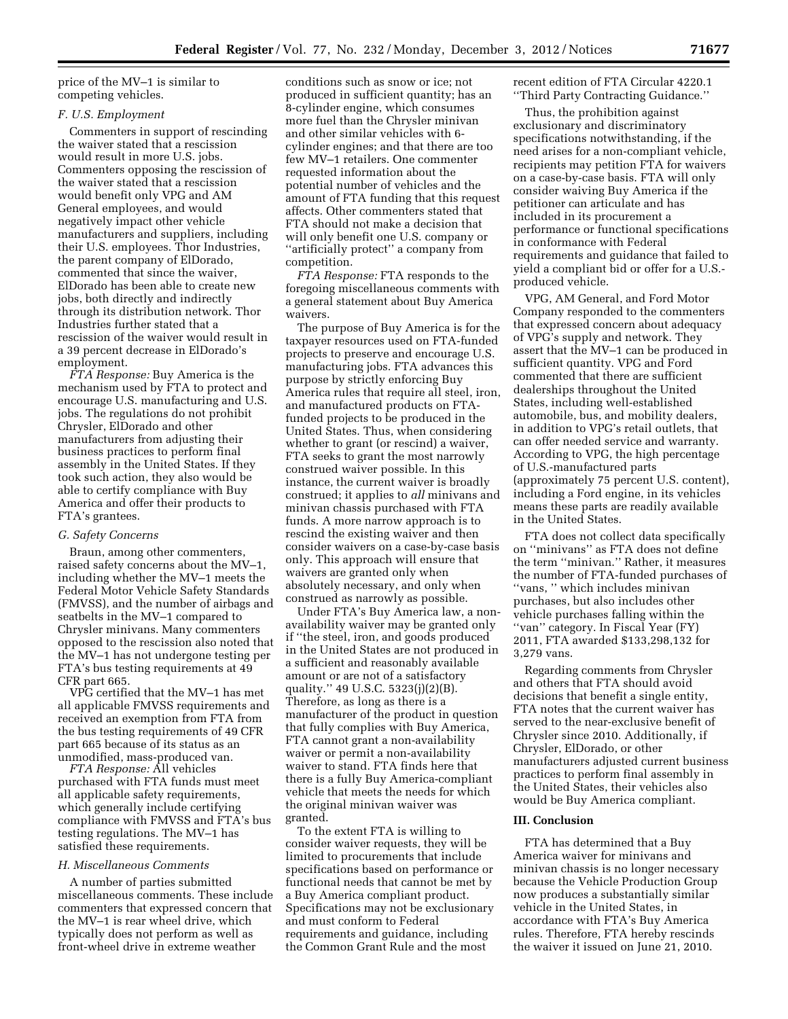price of the MV–1 is similar to competing vehicles.

### *F. U.S. Employment*

Commenters in support of rescinding the waiver stated that a rescission would result in more U.S. jobs. Commenters opposing the rescission of the waiver stated that a rescission would benefit only VPG and AM General employees, and would negatively impact other vehicle manufacturers and suppliers, including their U.S. employees. Thor Industries, the parent company of ElDorado, commented that since the waiver, ElDorado has been able to create new jobs, both directly and indirectly through its distribution network. Thor Industries further stated that a rescission of the waiver would result in a 39 percent decrease in ElDorado's employment.

*FTA Response:* Buy America is the mechanism used by FTA to protect and encourage U.S. manufacturing and U.S. jobs. The regulations do not prohibit Chrysler, ElDorado and other manufacturers from adjusting their business practices to perform final assembly in the United States. If they took such action, they also would be able to certify compliance with Buy America and offer their products to FTA's grantees.

### *G. Safety Concerns*

Braun, among other commenters, raised safety concerns about the MV–1, including whether the MV–1 meets the Federal Motor Vehicle Safety Standards (FMVSS), and the number of airbags and seatbelts in the MV–1 compared to Chrysler minivans. Many commenters opposed to the rescission also noted that the MV–1 has not undergone testing per FTA's bus testing requirements at 49 CFR part 665.

VPG certified that the MV–1 has met all applicable FMVSS requirements and received an exemption from FTA from the bus testing requirements of 49 CFR part 665 because of its status as an unmodified, mass-produced van.

*FTA Response:* All vehicles purchased with FTA funds must meet all applicable safety requirements, which generally include certifying compliance with FMVSS and FTA's bus testing regulations. The MV–1 has satisfied these requirements.

#### *H. Miscellaneous Comments*

A number of parties submitted miscellaneous comments. These include commenters that expressed concern that the MV–1 is rear wheel drive, which typically does not perform as well as front-wheel drive in extreme weather

conditions such as snow or ice; not produced in sufficient quantity; has an 8-cylinder engine, which consumes more fuel than the Chrysler minivan and other similar vehicles with 6 cylinder engines; and that there are too few MV–1 retailers. One commenter requested information about the potential number of vehicles and the amount of FTA funding that this request affects. Other commenters stated that FTA should not make a decision that will only benefit one U.S. company or ''artificially protect'' a company from competition.

*FTA Response:* FTA responds to the foregoing miscellaneous comments with a general statement about Buy America waivers.

The purpose of Buy America is for the taxpayer resources used on FTA-funded projects to preserve and encourage U.S. manufacturing jobs. FTA advances this purpose by strictly enforcing Buy America rules that require all steel, iron, and manufactured products on FTAfunded projects to be produced in the United States. Thus, when considering whether to grant (or rescind) a waiver, FTA seeks to grant the most narrowly construed waiver possible. In this instance, the current waiver is broadly construed; it applies to *all* minivans and minivan chassis purchased with FTA funds. A more narrow approach is to rescind the existing waiver and then consider waivers on a case-by-case basis only. This approach will ensure that waivers are granted only when absolutely necessary, and only when construed as narrowly as possible.

Under FTA's Buy America law, a nonavailability waiver may be granted only if ''the steel, iron, and goods produced in the United States are not produced in a sufficient and reasonably available amount or are not of a satisfactory quality.'' 49 U.S.C. 5323(j)(2)(B). Therefore, as long as there is a manufacturer of the product in question that fully complies with Buy America, FTA cannot grant a non-availability waiver or permit a non-availability waiver to stand. FTA finds here that there is a fully Buy America-compliant vehicle that meets the needs for which the original minivan waiver was granted.

To the extent FTA is willing to consider waiver requests, they will be limited to procurements that include specifications based on performance or functional needs that cannot be met by a Buy America compliant product. Specifications may not be exclusionary and must conform to Federal requirements and guidance, including the Common Grant Rule and the most

recent edition of FTA Circular 4220.1 ''Third Party Contracting Guidance.''

Thus, the prohibition against exclusionary and discriminatory specifications notwithstanding, if the need arises for a non-compliant vehicle, recipients may petition FTA for waivers on a case-by-case basis. FTA will only consider waiving Buy America if the petitioner can articulate and has included in its procurement a performance or functional specifications in conformance with Federal requirements and guidance that failed to yield a compliant bid or offer for a U.S. produced vehicle.

VPG, AM General, and Ford Motor Company responded to the commenters that expressed concern about adequacy of VPG's supply and network. They assert that the MV–1 can be produced in sufficient quantity. VPG and Ford commented that there are sufficient dealerships throughout the United States, including well-established automobile, bus, and mobility dealers, in addition to VPG's retail outlets, that can offer needed service and warranty. According to VPG, the high percentage of U.S.-manufactured parts (approximately 75 percent U.S. content), including a Ford engine, in its vehicles means these parts are readily available in the United States.

FTA does not collect data specifically on ''minivans'' as FTA does not define the term ''minivan.'' Rather, it measures the number of FTA-funded purchases of ''vans, '' which includes minivan purchases, but also includes other vehicle purchases falling within the ''van'' category. In Fiscal Year (FY) 2011, FTA awarded \$133,298,132 for 3,279 vans.

Regarding comments from Chrysler and others that FTA should avoid decisions that benefit a single entity, FTA notes that the current waiver has served to the near-exclusive benefit of Chrysler since 2010. Additionally, if Chrysler, ElDorado, or other manufacturers adjusted current business practices to perform final assembly in the United States, their vehicles also would be Buy America compliant.

### **III. Conclusion**

FTA has determined that a Buy America waiver for minivans and minivan chassis is no longer necessary because the Vehicle Production Group now produces a substantially similar vehicle in the United States, in accordance with FTA's Buy America rules. Therefore, FTA hereby rescinds the waiver it issued on June 21, 2010.